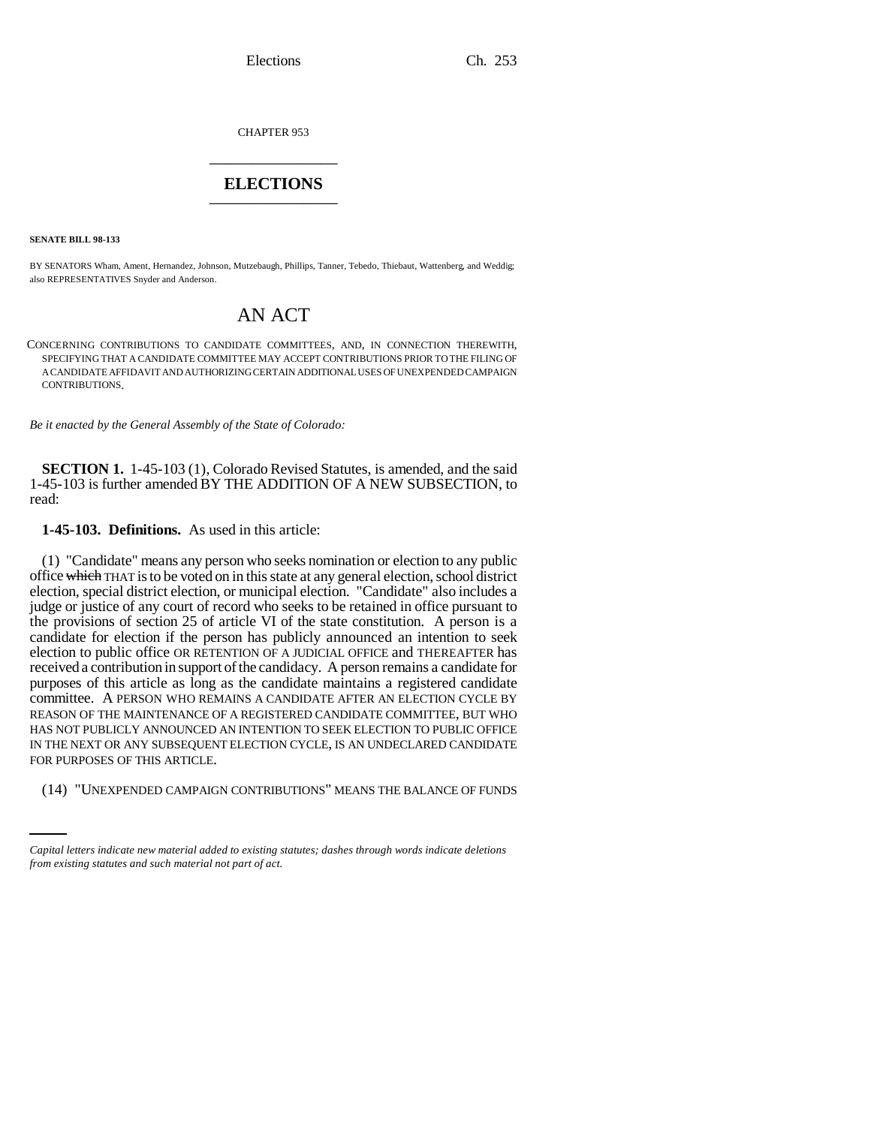Elections Ch. 253

CHAPTER 953 \_\_\_\_\_\_\_\_\_\_\_\_\_\_\_

## **ELECTIONS** \_\_\_\_\_\_\_\_\_\_\_\_\_\_\_

**SENATE BILL 98-133**

BY SENATORS Wham, Ament, Hernandez, Johnson, Mutzebaugh, Phillips, Tanner, Tebedo, Thiebaut, Wattenberg, and Weddig; also REPRESENTATIVES Snyder and Anderson.

## AN ACT

CONCERNING CONTRIBUTIONS TO CANDIDATE COMMITTEES, AND, IN CONNECTION THEREWITH, SPECIFYING THAT A CANDIDATE COMMITTEE MAY ACCEPT CONTRIBUTIONS PRIOR TO THE FILING OF A CANDIDATE AFFIDAVIT AND AUTHORIZING CERTAIN ADDITIONAL USES OF UNEXPENDED CAMPAIGN CONTRIBUTIONS.

*Be it enacted by the General Assembly of the State of Colorado:*

**SECTION 1.** 1-45-103 (1), Colorado Revised Statutes, is amended, and the said 1-45-103 is further amended BY THE ADDITION OF A NEW SUBSECTION, to read:

**1-45-103. Definitions.** As used in this article:

FOR PURPOSES OF THIS ARTICLE. (1) "Candidate" means any person who seeks nomination or election to any public office which THAT is to be voted on in this state at any general election, school district election, special district election, or municipal election. "Candidate" also includes a judge or justice of any court of record who seeks to be retained in office pursuant to the provisions of section 25 of article VI of the state constitution. A person is a candidate for election if the person has publicly announced an intention to seek election to public office OR RETENTION OF A JUDICIAL OFFICE and THEREAFTER has received a contribution in support of the candidacy. A person remains a candidate for purposes of this article as long as the candidate maintains a registered candidate committee. A PERSON WHO REMAINS A CANDIDATE AFTER AN ELECTION CYCLE BY REASON OF THE MAINTENANCE OF A REGISTERED CANDIDATE COMMITTEE, BUT WHO HAS NOT PUBLICLY ANNOUNCED AN INTENTION TO SEEK ELECTION TO PUBLIC OFFICE IN THE NEXT OR ANY SUBSEQUENT ELECTION CYCLE, IS AN UNDECLARED CANDIDATE

(14) "UNEXPENDED CAMPAIGN CONTRIBUTIONS" MEANS THE BALANCE OF FUNDS

*Capital letters indicate new material added to existing statutes; dashes through words indicate deletions from existing statutes and such material not part of act.*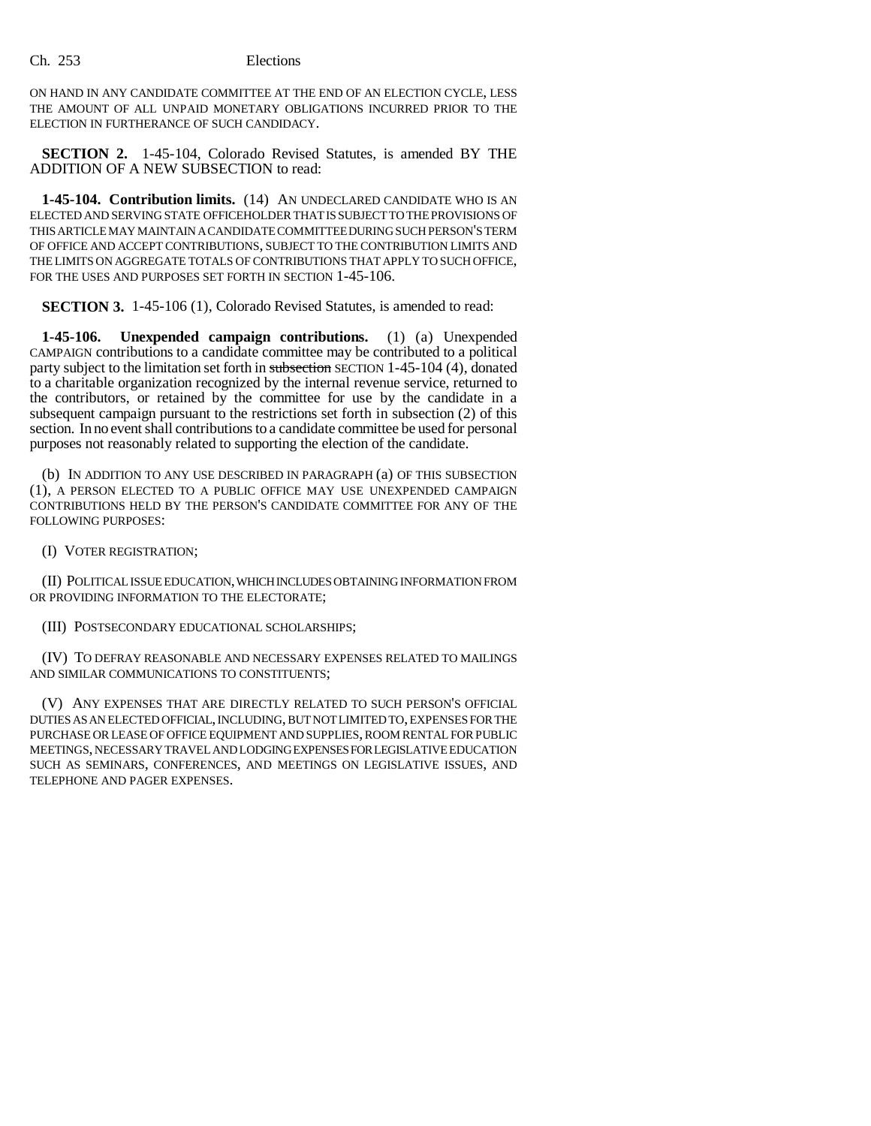Ch. 253 Elections

ON HAND IN ANY CANDIDATE COMMITTEE AT THE END OF AN ELECTION CYCLE, LESS THE AMOUNT OF ALL UNPAID MONETARY OBLIGATIONS INCURRED PRIOR TO THE ELECTION IN FURTHERANCE OF SUCH CANDIDACY.

**SECTION 2.** 1-45-104, Colorado Revised Statutes, is amended BY THE ADDITION OF A NEW SUBSECTION to read:

**1-45-104. Contribution limits.** (14) AN UNDECLARED CANDIDATE WHO IS AN ELECTED AND SERVING STATE OFFICEHOLDER THAT IS SUBJECT TO THE PROVISIONS OF THIS ARTICLE MAY MAINTAIN A CANDIDATE COMMITTEE DURING SUCH PERSON'S TERM OF OFFICE AND ACCEPT CONTRIBUTIONS, SUBJECT TO THE CONTRIBUTION LIMITS AND THE LIMITS ON AGGREGATE TOTALS OF CONTRIBUTIONS THAT APPLY TO SUCH OFFICE, FOR THE USES AND PURPOSES SET FORTH IN SECTION  $1-45-106$ .

**SECTION 3.** 1-45-106 (1), Colorado Revised Statutes, is amended to read:

**1-45-106. Unexpended campaign contributions.** (1) (a) Unexpended CAMPAIGN contributions to a candidate committee may be contributed to a political party subject to the limitation set forth in subsection SECTION 1-45-104 (4), donated to a charitable organization recognized by the internal revenue service, returned to the contributors, or retained by the committee for use by the candidate in a subsequent campaign pursuant to the restrictions set forth in subsection (2) of this section. In no event shall contributions to a candidate committee be used for personal purposes not reasonably related to supporting the election of the candidate.

(b) IN ADDITION TO ANY USE DESCRIBED IN PARAGRAPH (a) OF THIS SUBSECTION (1), A PERSON ELECTED TO A PUBLIC OFFICE MAY USE UNEXPENDED CAMPAIGN CONTRIBUTIONS HELD BY THE PERSON'S CANDIDATE COMMITTEE FOR ANY OF THE FOLLOWING PURPOSES:

(I) VOTER REGISTRATION;

(II) POLITICAL ISSUE EDUCATION, WHICH INCLUDES OBTAINING INFORMATION FROM OR PROVIDING INFORMATION TO THE ELECTORATE;

(III) POSTSECONDARY EDUCATIONAL SCHOLARSHIPS;

(IV) TO DEFRAY REASONABLE AND NECESSARY EXPENSES RELATED TO MAILINGS AND SIMILAR COMMUNICATIONS TO CONSTITUENTS;

(V) ANY EXPENSES THAT ARE DIRECTLY RELATED TO SUCH PERSON'S OFFICIAL DUTIES AS AN ELECTED OFFICIAL, INCLUDING, BUT NOT LIMITED TO, EXPENSES FOR THE PURCHASE OR LEASE OF OFFICE EQUIPMENT AND SUPPLIES, ROOM RENTAL FOR PUBLIC MEETINGS, NECESSARY TRAVEL AND LODGING EXPENSES FOR LEGISLATIVE EDUCATION SUCH AS SEMINARS, CONFERENCES, AND MEETINGS ON LEGISLATIVE ISSUES, AND TELEPHONE AND PAGER EXPENSES.